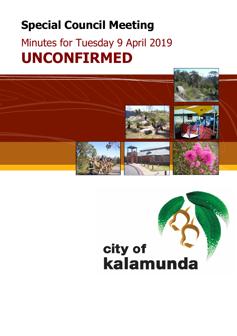# **Special Council Meeting**

# Minutes for Tuesday 9 April 2019 **UNCONFIRMED**

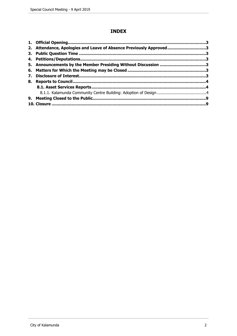# **INDEX**

|    | 2. Attendance, Apologies and Leave of Absence Previously Approved3 |  |
|----|--------------------------------------------------------------------|--|
|    |                                                                    |  |
|    |                                                                    |  |
|    |                                                                    |  |
|    |                                                                    |  |
| 7. |                                                                    |  |
|    |                                                                    |  |
|    |                                                                    |  |
|    |                                                                    |  |
|    |                                                                    |  |
|    |                                                                    |  |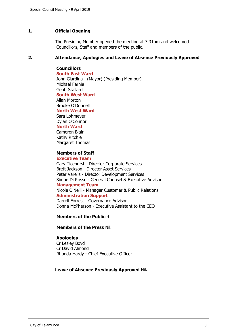# <span id="page-2-0"></span>**1. Official Opening**

The Presiding Member opened the meeting at 7.31pm and welcomed Councillors, Staff and members of the public.

## <span id="page-2-1"></span>**2. Attendance, Apologies and Leave of Absence Previously Approved**

# **Councillors**

**South East Ward**  John Giardina - (Mayor) (Presiding Member) Michael Fernie Geoff Stallard **South West Ward** Allan Morton Brooke O'Donnell **North West Ward** Sara Lohmeyer Dylan O'Connor **North Ward** Cameron Blair

Kathy Ritchie Margaret Thomas

# **Members of Staff**

## **Executive Team**

Gary Ticehurst - Director Corporate Services Brett Jackson - Director Asset Services Peter Varelis - Director Development Services Simon Di Rosso - General Counsel & Executive Advisor

## **Management Team**

Nicole O'Neill - Manager Customer & Public Relations **Administration Support**

Darrell Forrest - Governance Advisor Donna McPherson - Executive Assistant to the CEO

## **Members of the Public** 4

**Members of the Press** Nil.

## **Apologies**

Cr Lesley Boyd Cr David Almond Rhonda Hardy **-** Chief Executive Officer

## **Leave of Absence Previously Approved** Nil**.**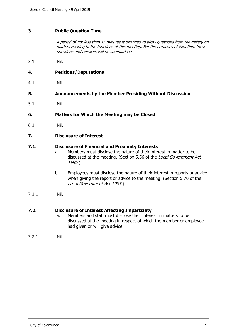# <span id="page-3-0"></span>**3. Public Question Time**

*A period of not less than 15 minutes is provided to allow questions from the gallery on matters relating to the functions of this meeting. For the purposes of Minuting, these questions and answers will be summarised.*

3.1 Nil.

## <span id="page-3-1"></span>**4. Petitions/Deputations**

4.1 Nil.

## <span id="page-3-2"></span>**5. Announcements by the Member Presiding Without Discussion**

5.1 Nil.

<span id="page-3-3"></span>**6. Matters for Which the Meeting may be Closed**

6.1 Nil.

## <span id="page-3-4"></span>**7. Disclosure of Interest**

## **7.1. Disclosure of Financial and Proximity Interests**

- a. Members must disclose the nature of their interest in matter to be discussed at the meeting. (Section 5.56 of the *Local Government Act 1995*.)
- b. Employees must disclose the nature of their interest in reports or advice when giving the report or advice to the meeting. (Section 5.70 of the *Local Government Act 1995*.)
- 7.1.1 Nil.

# **7.2. Disclosure of Interest Affecting Impartiality**

- a. Members and staff must disclose their interest in matters to be discussed at the meeting in respect of which the member or employee had given or will give advice.
- 7.2.1 Nil.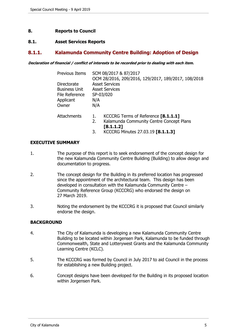# <span id="page-4-0"></span>**8. Reports to Council**

## <span id="page-4-1"></span>**8.1. Asset Services Reports**

## <span id="page-4-2"></span>**8.1.1. Kalamunda Community Centre Building: Adoption of Design**

*Declaration of financial / conflict of interests to be recorded prior to dealing with each item.*

| Previous Items                                                              | SCM 08/2017 & 87/2017<br>OCM 28/2016, 209/2016, 129/2017, 189/2017, 108/2018                                                                        |  |  |  |
|-----------------------------------------------------------------------------|-----------------------------------------------------------------------------------------------------------------------------------------------------|--|--|--|
| Directorate<br><b>Business Unit</b><br>File Reference<br>Applicant<br>Owner | <b>Asset Services</b><br><b>Asset Services</b><br>SP-03/020<br>N/A<br>N/A                                                                           |  |  |  |
| Attachments                                                                 | KCCCRG Terms of Reference [8.1.1.1]<br>1.<br>Kalamunda Community Centre Concept Plans<br>2.<br>[8.1.1.2]<br>KCCCRG Minutes 27.03.19 [8.1.1.3]<br>3. |  |  |  |

## **EXECUTIVE SUMMARY**

- 1. The purpose of this report is to seek endorsement of the concept design for the new Kalamunda Community Centre Building (Building) to allow design and documentation to progress.
- 2. The concept design for the Building in its preferred location has progressed since the appointment of the architectural team. This design has been developed in consultation with the Kalamunda Community Centre – Community Reference Group (KCCCRG) who endorsed the design on 27 March 2019.
- 3. Noting the endorsement by the KCCCRG it is proposed that Council similarly endorse the design.

## **BACKGROUND**

- 4. The City of Kalamunda is developing a new Kalamunda Community Centre Building to be located within Jorgensen Park, Kalamunda to be funded through Commonwealth, State and Lotterywest Grants and the Kalamunda Community Learning Centre (KCLC).
- 5. The KCCCRG was formed by Council in July 2017 to aid Council in the process for establishing a new Building project.
- 6. Concept designs have been developed for the Building in its proposed location within Jorgensen Park.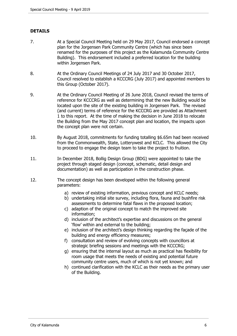# **DETAILS**

- 7. At a Special Council Meeting held on 29 May 2017, Council endorsed a concept plan for the Jorgensen Park Community Centre (which has since been renamed for the purposes of this project as the Kalamunda Community Centre Building). This endorsement included a preferred location for the building within Jorgensen Park.
- 8. At the Ordinary Council Meetings of 24 July 2017 and 30 October 2017, Council resolved to establish a KCCCRG (July 2017) and appointed members to this Group (October 2017).
- 9. At the Ordinary Council Meeting of 26 June 2018, Council revised the terms of reference for KCCCRG as well as determining that the new Building would be located upon the site of the existing building in Jorgensen Park. The revised (and current) terms of reference for the KCCCRG are provided as Attachment 1 to this report. At the time of making the decision in June 2018 to relocate the Building from the May 2017 concept plan and location, the impacts upon the concept plan were not certain.
- 10. By August 2018, commitments for funding totalling \$6.65m had been received from the Commonwealth, State, Lotterywest and KCLC. This allowed the City to proceed to engage the design team to take the project to fruition.
- 11. In December 2018, Bollig Design Group (BDG) were appointed to take the project through staged design (concept, schematic, detail design and documentation) as well as participation in the construction phase.
- 12. The concept design has been developed within the following general parameters:
	- a) review of existing information, previous concept and KCLC needs;
	- b) undertaking initial site survey, including flora, fauna and bushfire risk assessments to determine fatal flaws in the proposed location;
	- c) adaption of the original concept to match the improved site information;
	- d) inclusion of the architect's expertise and discussions on the general 'flow' within and external to the building;
	- e) inclusion of the architect's design thinking regarding the façade of the building and energy efficiency measures;
	- f) consultation and review of evolving concepts with councillors at strategic briefing sessions and meetings with the KCCCRG;
	- g) ensuring that the internal layout as much as practical has flexibility for room usage that meets the needs of existing and potential future community centre users, much of which is not yet known; and
	- h) continued clarification with the KCLC as their needs as the primary user of the Building.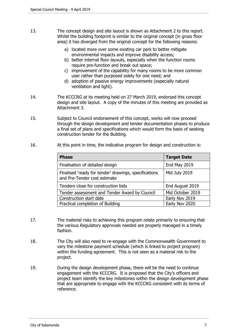- 13. The concept design and site layout is shown as Attachment 2 to this report. Whilst the building footprint is similar to the original concept (in gross floor area) it has diverged from the original concept for the following reasons:
	- a) located more over some existing car park to better mitigate environmental impacts and improve disability access;
	- b) better internal floor layouts, especially when the function rooms require pre-function and break out space;
	- c) improvement of the capability for many rooms to be more common user rather than purposed solely for one need; and
	- d) adoption of passive energy improvements (especially natural ventilation and light).
- 14. The KCCCRG at its meeting held on 27 March 2019, endorsed this concept design and site layout. A copy of the minutes of this meeting are provided as Attachment 3.
- 15. Subject to Council endorsement of this concept, works will now proceed through the design development and tender documentation phases to produce a final set of plans and specifications which would form the basis of seeking construction tender for the Building.
- 16. At this point in time, the indicative program for design and construction is:

| <b>Phase</b>                                                                          | <b>Target Date</b> |
|---------------------------------------------------------------------------------------|--------------------|
| Finalisation of detailed design                                                       | End May 2019       |
| Finalised 'ready for tender' drawings, specifications<br>and Pre-Tender cost estimate | Mid July 2019      |
| Tenders close for construction bids                                                   | End August 2019    |
| Tender assessment and Tender Award by Council                                         | Mid October 2019   |
| Construction start date                                                               | Early Nov 2019     |
| Practical completion of Building                                                      | Early Nov 2020     |

- 17. The material risks to achieving this program relate primarily to ensuring that the various Regulatory approvals needed are properly managed in a timely fashion.
- 18. The City will also need to re-engage with the Commonwealth Government to vary the milestone payment schedule (which is linked to project program) within the funding agreement. This is not seen as a material risk to the project.
- 19. During the design development phase, there will be the need to continue engagement with the KCCCRG. It is proposed that the City's officers and project team identify the key milestones within the design development phase that are appropriate to engage with the KCCCRG consistent with its terms of reference.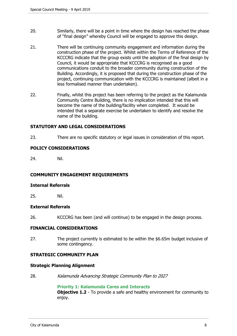- 20. Similarly, there will be a point in time where the design has reached the phase of "final design" whereby Council will be engaged to approve this design.
- 21. There will be continuing community engagement and information during the construction phase of the project. Whilst within the Terms of Reference of the KCCCRG indicate that the group exists until the adoption of the final design by Council, it would be appropriate that KCCCRG is recognised as a good communications conduit to the broader community during construction of the Building. Accordingly, it is proposed that during the construction phase of the project, continuing communication with the KCCCRG is maintained (albeit in a less formalised manner than undertaken).
- 22. Finally, whilst this project has been referring to the project as the Kalamunda Community Centre Building, there is no implication intended that this will become the name of the building/facility when completed. It would be intended that a separate exercise be undertaken to identify and resolve the name of the building.

## **STATUTORY AND LEGAL CONSIDERATIONS**

23. There are no specific statutory or legal issues in consideration of this report.

## **POLICY CONSIDERATIONS**

24. Nil.

## **COMMUNITY ENGAGEMENT REQUIREMENTS**

### **Internal Referrals**

25. Nil.

## **External Referrals**

26. KCCCRG has been (and will continue) to be engaged in the design process.

## **FINANCIAL CONSIDERATIONS**

27. The project currently is estimated to be within the \$6.65m budget inclusive of some contingency.

## **STRATEGIC COMMUNITY PLAN**

#### **Strategic Planning Alignment**

28. *Kalamunda Advancing Strategic Community Plan to 2027*

**Priority 1: Kalamunda Cares and Interacts Objective 1.2** - To provide a safe and healthy environment for community to enjoy.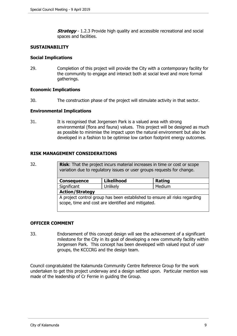**Strategy** - 1.2.3 Provide high quality and accessible recreational and social spaces and facilities.

## **SUSTAINABILITY**

### **Social Implications**

29. Completion of this project will provide the City with a contemporary facility for the community to engage and interact both at social level and more formal gatherings.

## **Economic Implications**

30. The construction phase of the project will stimulate activity in that sector.

### **Environmental Implications**

31. It is recognised that Jorgensen Park is a valued area with strong environmental (flora and fauna) values. This project will be designed as much as possible to minimise the impact upon the natural environment but also be developed in a fashion to be optimise low carbon footprint energy outcomes.

## **RISK MANAGEMENT CONSIDERATIONS**

32. **Risk**: That the project incurs material increases in time or cost or scope variation due to regulatory issues or user groups requests for change.

| <b>Consequence</b>                                                         | <b>Likelihood</b> | Rating |  |  |  |  |
|----------------------------------------------------------------------------|-------------------|--------|--|--|--|--|
| Significant                                                                | Unlikely          | Medium |  |  |  |  |
| <b>Action/Strategy</b>                                                     |                   |        |  |  |  |  |
| A project control group has been established to ensure all risks regarding |                   |        |  |  |  |  |
| scope, time and cost are identified and mitigated.                         |                   |        |  |  |  |  |

## **OFFICER COMMENT**

33. Endorsement of this concept design will see the achievement of a significant milestone for the City in its goal of developing a new community facility within Jorgensen Park. This concept has been developed with valued input of user groups, the KCCCRG and the design team.

Council congratulated the Kalamunda Community Centre Reference Group for the work undertaken to get this project underway and a design settled upon. Particular mention was made of the leadership of Cr Fernie in guiding the Group.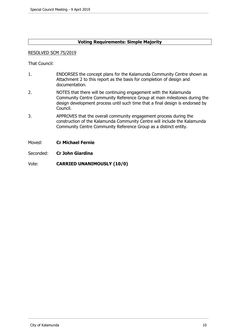# **Voting Requirements: Simple Majority**

### RESOLVED SCM 75/2019

That Council:

- 1. ENDORSES the concept plans for the Kalamunda Community Centre shown as Attachment 2 to this report as the basis for completion of design and documentation.
- 2. NOTES that there will be continuing engagement with the Kalamunda Community Centre Community Reference Group at main milestones during the design development process until such time that a final design is endorsed by Council.
- 3. APPROVES that the overall community engagement process during the construction of the Kalamunda Community Centre will include the Kalamunda Community Centre Community Reference Group as a distinct entity.
- Moved: **Cr Michael Fernie**
- Seconded: **Cr John Giardina**

Vote: **CARRIED UNANIMOUSLY (10/0)**